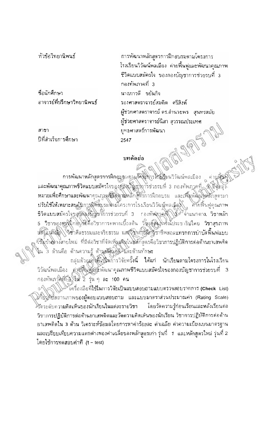หัวข้อวิทยานิพนธ์

ชื่อนักศึกษา อาจารย์ที่บรึกษาวิทยานิพนธ์

สาขา ปีที่สำเร็จการศึกษา

การพัฒนาหลักสูตรการฝึกอบรมดามโครงการ โรงเรียนวิวัฒน์พลเมือง ค่ายฟื้นฟูและพัฒนาคุณภาพ ชีวิตแบบสมัครใจ ของกองบัญชาการช่วยรบที่ 3 กองทัพภาคที่ 3 นางภาวดี ขยันกิจ รองศาสตราจารย์สมคิด ศรีสิงห์ ผู้ช่วยศาสตราจารย์ ดร.อำนวยพร - สุนทรสมัย ผู้ช่วยคาสดราจารย์นิสา สุวรรณประเทศ ยทธศาสตร์การพัฒนา **JANESPEE** 2547

## บทคัดย่อ

การพัฒนาหลักสูตรการฝึกอุบุรมดูวมโตรงที่งาว สร้ายนวิวัฒน์พลเมือง และพัฒนาคุณภาพชีวิตแบบสมัครใจของศ์อิงบัญชางารช่วยรบที่ 3 กองทัพภาคที่ จิ มีขัดมุ่ง หมายเพื่อศึกษาและพัฒนาคุณภาพซีอิตัตามหลักสูตรการฝึกอบรม และเพื่อพัฒน์โหลักสูตรมา ปรับใช้ให้เหมาะสมภัยการฝึกอังรมติวมีโครงการโรงเรียนวิวัฒน์พลเมือง ที่ ทั้งผู้จันฟูคุณภาพ ชีวิตแบบสมัครใจของออมพิวาคารช่วยรบที่ 3 กองทัพกาคที่ ไม้ ข้าแนกตาม วิชาหลัก 5 วิชาของสมพิกอิงรัชคือวิชาการพหารเบื้องต้น วิชาอัติโกรรณ์ประชาธิปไตย วิชาสุขภาพ เสรียมติด ริชาศีลธรรมและจริยธรรม แสะจุ๊ชากัลมีที่รัชาชีพสอดแทรกการบำบัดพื้นฟแบบ นี้ชี้มุขันข่างสายใหม่ ที่มีต่อวิชาที่จัดเพิ่มเติมในหลักสูตรคือวิชาการปฏิบัติการต่อต้านยาเสพติด<br>ไน 3 ต้านคือ ต้านความรู้ ต้านหัสโมอติ-และต้านทักษะ<br>- กลุ่มตัวอุยุคได้ใช้ในการวิจัยครั้งนี้ "ได้แก่ นักเรียนตามโครงการในโรงเรี

วิวัฒน์พลเมือง <u>ต่าง</u>ฟังฟันสมพัฒนาคุณภาพชีวิตแบบสมัครใจของกองบัญชาการช่วยรบที่ 3 กองทัพภาพที่ 3 4 2 รุ่น ๆ ละ 100 คน

ไครื่องมือที่ใช้ในการวิจัยเป็นแบบสอบถามแบบตรวจสอบรายการ (Check List) ู้ให้ใช้งานสถานภาพของผู้ดอบแบบสอบถาม และแบบมาตราส่วนประมาณค่า (Rating Scale) ์<br>- โดระดับความคิดเห็นของนักเรียนในแต่ละรายวิชา โดยวัดความรู้ก่อนเรียนและหลังเรียนต่อ วิชาการปฏิบัติการต่อต้านยาเสพติดและวัดความคิดเห็นของนักเรียน วิชาการปฏิบัติการต่อต้าน ้ยาเสพติดใน 3 ด้าน วิเคราะห์ข้อมลโดยการหาคำร้อยละ ค่าเฉลี่ย ค่าความเบี่ยงเบนมาตรฐาน ี และเปรียบเทียบความแดกต่างของค่าเฉลี่ยของหลักสูตรเก่า รุ่นที่ -1 - และหลักสูตรใหม่ วุ่นที่ 2 โดยใช้การทดสอบค่าที (t – test)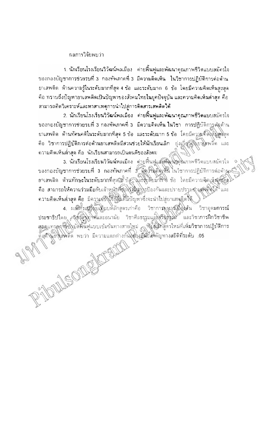## ผลการวิจัยพบว่า

11/20 MAY

1. นักเรียนโรงเรียนวิวัฒน์พลเมือง ค่ายฟื้นฟูและพัฒนาคุณภาพชีวิตแบบสมัครใจ ีของกองบัญชาการช่วยรบที่ 3 | กองทัพภาคที่ 3 มีความคิดเห็น | ในวิชาการปฏิบัติการต่อต้าน ยาเสพติด ด้านความรู้ในระดับมากที่สุด 4 ข้อ และระดับมาก 6 ข้อ โดยมีความคิดเห็นสงสด ์คือ ทราบถึงปัญหายาเสพติดเป็นปัญหาของสังคมไทยในยุคปัจจุบัน และความคิดเห็นด้ำสด คือ สามารถคิดวิเคราะห์และหาสาเหตุการนำไปสู่การติดสารเสพติดได้

่ 2. นักเรียนโรงเรียนวิวัฒน์พลเมือง ค่ายพื้นฟูและพัฒนาคุณภาพชีวิตแบบสมัครใจ ี ของกองบัญชาการช่วยรบที่ 3 กองทัพภาคที่ 3 มีความคิดเห็น ในวิชา การปฏิบัติการศัญด้าน ียาเสพติด ด้านทัศนอติโนระดับมากที่สุด 5 ข้อ และระดับมาก 5 ข้อ โดยมีอาวมตีดีเห็นสูงสุด คือ วิชาการปฏิบัติการด่อต้านยาเสพดิดมีส่วนช่วยให้นักเรียนเลิก ยุ่งเกี่ยวกับอาโมพลี๊ด และ ้กวามคิดเห็นด่ำสุด คือ นักเรียนสามารถเป็นคนดีของสังคม

3. นักเรียนโรงเรียนวิวัฒน์พลเมือง ค่ายพื้นฟูแล้วพิ้งเพิ่งคุณภาพชีวิตแบบลมัครใจ ของถองบัญชาการช่วยรบที่ 3 กองทัพภาคที่ 3 มีครั้งแค็ดเห็น ในวิชาการปฏิบัติการต่อต้านะ ยาเสพติด ด้านทักษะในระดับมากที่สุสาชิ บัฐ พละระดับมากิโอ ข้อ โดยมีความคิดเห็นสู่สุสุดใ คือ สามารถให้ความร่วมมือกับเจ้าหนักที่สองรัฐในการป้องกันและปราบปรามสาเสพติดได้<sup>3</sup> และ ความคิดเห็นต่ำสุด คือ มีความเชิงใช้ผู้ผู้ในปัญหาซึ่งจะนำไปสู่ยาเสพติดใช้

4. ผลอภิรเสริมแก้ยบหลักสูตรเก่าคือ วิชาการพูหาสมอิงตัน วิชาอดมการณ์ ประชาธิปไตย สุจิชัญญาให้และอนามัย วิชาศีลธรรมแล้งวันดังมัน และวิชาการฝึกวิชาชีพ สอดแทรคุกซุ๊ริฟิจบัดพื้นฟูแบบเข้มข้นทางสายใหม่ จำปังผู้ที่สูตรใหม่ที่เพิ่มวิชาการปฏิบัติการ ต์อุตัญเปิงสิตติด พบว่า มีความแดกต่างกันอุตัญเนียสิตัญทางสถิติที่ระดับ .05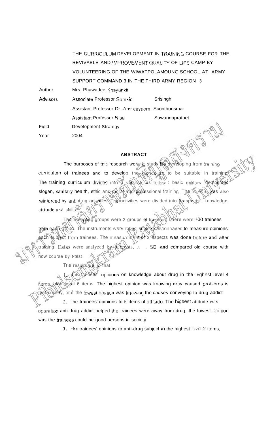THE CURRICULUM DEVELOPMENT IN TRAINING COURSE FOR THE REVIVABLE AND IMPROVEMENT QUALITY OF LIFE CAMP BY VOLUNTEERING OF THE WIWATPOLAMOUNG SCHOOL AT ARMY SUPPORT COMMAND 3 IN THE THIRD ARMY REGION 3 Author Mrs. Phawadee Khayankit Advisors Associate Professor Somkid Srisingh Assistant Professor Dr. Amnuavporn Sconthonsmai Assistant Professor Nisa Suwannaprathet Field Development Strategy Year 2004

## **ABSTRACT**

The purposes of this research were to study life developing from training curriculum of trainees and to develop the curriculum to be suitable in training The training curriculum divided into 5 subjects as follow : basic military, democratic slogan, sanitary health, ethic and moral and professional training. The training was also reinforced by anti drug activities. The activities were divided into 3 aspects : knowledge, attitude and skills.

The Sampling groups were 2 groups of trainees. There were 100 trainees from each group. The instruments were rating scale questionnaires to measure opinions each subject from trainees. The measuren entrol 3 aspects was done before and after training. Datas were analyzed **by** percents, .Y , SD **and** compared old course with now ccurse by t-test

Tne results found that

the bamees' opinions on knowledge about drug in the highest level 4 items, high level 6 items. The highest opinion was knowing druy caused problems is that society, and the lowest opinion was knowing the causes conveying to drug addict 2. the trainees' opinions to 5 items of attitude. The highest attitude was operation anti-drug addict helped the trainees were away from drug, the lowest opinion was the trainees could be good persons in society.

3. the trainees' opinions to anti-drug subject in the highest level 2 items,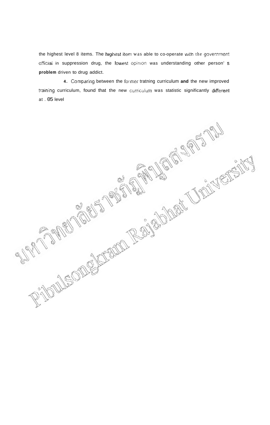the highest level 8 items. The highest item was able to co-operate with the government official in suppression drug, the lowest opinion was understanding other person' s **problem** driven to drug addict.

4. Comparing between the former tratning curriculum and the new improved training curriculum, found that the new curriculum was statistic significantly different at . 05 level